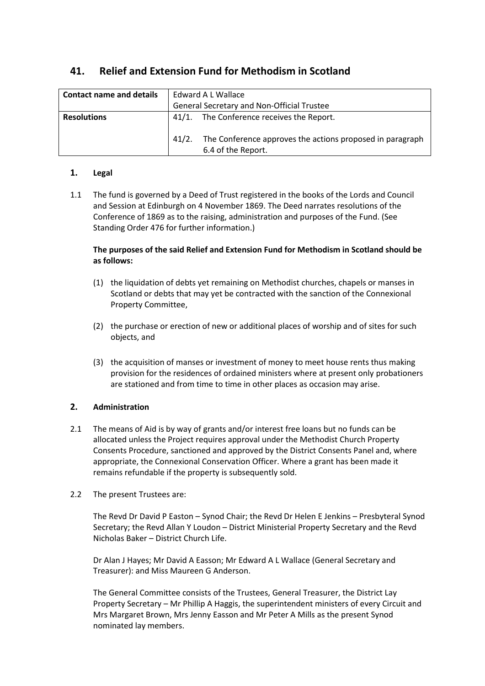| <b>Contact name and details</b> | Edward A L Wallace                                                                       |
|---------------------------------|------------------------------------------------------------------------------------------|
|                                 | <b>General Secretary and Non-Official Trustee</b>                                        |
| <b>Resolutions</b>              | 41/1. The Conference receives the Report.                                                |
|                                 | The Conference approves the actions proposed in paragraph<br>41/2.<br>6.4 of the Report. |

# **41. Relief and Extension Fund for Methodism in Scotland**

# **1. Legal**

1.1 The fund is governed by a Deed of Trust registered in the books of the Lords and Council and Session at Edinburgh on 4 November 1869. The Deed narrates resolutions of the Conference of 1869 as to the raising, administration and purposes of the Fund. (See Standing Order 476 for further information.)

## **The purposes of the said Relief and Extension Fund for Methodism in Scotland should be as follows:**

- (1) the liquidation of debts yet remaining on Methodist churches, chapels or manses in Scotland or debts that may yet be contracted with the sanction of the Connexional Property Committee,
- (2) the purchase or erection of new or additional places of worship and of sites for such objects, and
- (3) the acquisition of manses or investment of money to meet house rents thus making provision for the residences of ordained ministers where at present only probationers are stationed and from time to time in other places as occasion may arise.

# **2. Administration**

- 2.1 The means of Aid is by way of grants and/or interest free loans but no funds can be allocated unless the Project requires approval under the Methodist Church Property Consents Procedure, sanctioned and approved by the District Consents Panel and, where appropriate, the Connexional Conservation Officer. Where a grant has been made it remains refundable if the property is subsequently sold.
- 2.2 The present Trustees are:

The Revd Dr David P Easton – Synod Chair; the Revd Dr Helen E Jenkins – Presbyteral Synod Secretary; the Revd Allan Y Loudon – District Ministerial Property Secretary and the Revd Nicholas Baker – District Church Life.

Dr Alan J Hayes; Mr David A Easson; Mr Edward A L Wallace (General Secretary and Treasurer): and Miss Maureen G Anderson.

The General Committee consists of the Trustees, General Treasurer, the District Lay Property Secretary – Mr Phillip A Haggis, the superintendent ministers of every Circuit and Mrs Margaret Brown, Mrs Jenny Easson and Mr Peter A Mills as the present Synod nominated lay members.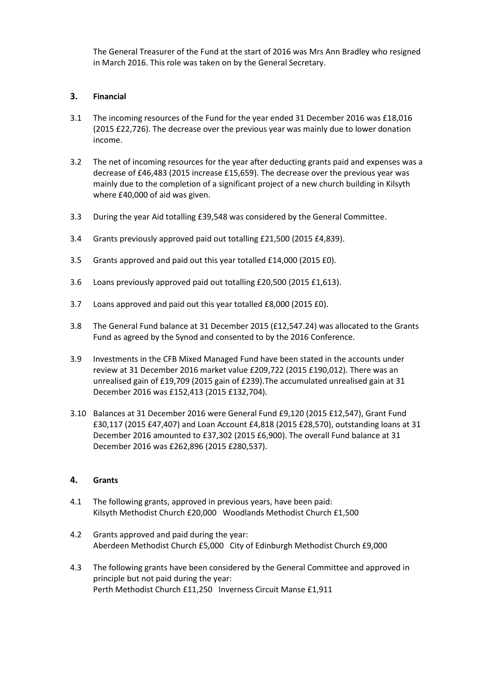The General Treasurer of the Fund at the start of 2016 was Mrs Ann Bradley who resigned in March 2016. This role was taken on by the General Secretary.

## **3. Financial**

- 3.1 The incoming resources of the Fund for the year ended 31 December 2016 was £18,016 (2015 £22,726). The decrease over the previous year was mainly due to lower donation income.
- 3.2 The net of incoming resources for the year after deducting grants paid and expenses was a decrease of £46,483 (2015 increase £15,659). The decrease over the previous year was mainly due to the completion of a significant project of a new church building in Kilsyth where £40,000 of aid was given.
- 3.3 During the year Aid totalling £39,548 was considered by the General Committee.
- 3.4 Grants previously approved paid out totalling £21,500 (2015 £4,839).
- 3.5 Grants approved and paid out this year totalled £14,000 (2015 £0).
- 3.6 Loans previously approved paid out totalling £20,500 (2015 £1,613).
- 3.7 Loans approved and paid out this year totalled £8,000 (2015 £0).
- 3.8 The General Fund balance at 31 December 2015 (£12,547.24) was allocated to the Grants Fund as agreed by the Synod and consented to by the 2016 Conference.
- 3.9 Investments in the CFB Mixed Managed Fund have been stated in the accounts under review at 31 December 2016 market value £209,722 (2015 £190,012). There was an unrealised gain of £19,709 (2015 gain of £239).The accumulated unrealised gain at 31 December 2016 was £152,413 (2015 £132,704).
- 3.10 Balances at 31 December 2016 were General Fund £9,120 (2015 £12,547), Grant Fund £30,117 (2015 £47,407) and Loan Account £4,818 (2015 £28,570), outstanding loans at 31 December 2016 amounted to £37,302 (2015 £6,900). The overall Fund balance at 31 December 2016 was £262,896 (2015 £280,537).

#### **4. Grants**

- 4.1 The following grants, approved in previous years, have been paid: Kilsyth Methodist Church £20,000 Woodlands Methodist Church £1,500
- 4.2 Grants approved and paid during the year: Aberdeen Methodist Church £5,000 City of Edinburgh Methodist Church £9,000
- 4.3 The following grants have been considered by the General Committee and approved in principle but not paid during the year: Perth Methodist Church £11,250 Inverness Circuit Manse £1,911